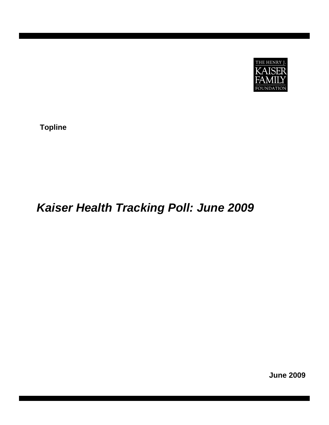

**Topline** 

# *Kaiser Health Tracking Poll: June 2009*

**June 2009**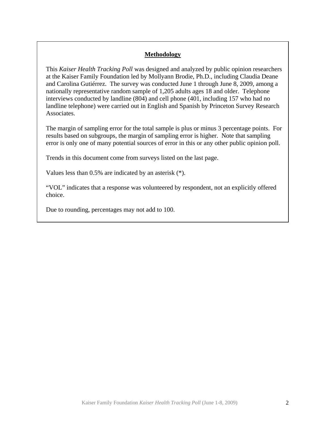# **Methodology**

This *Kaiser Health Tracking Poll* was designed and analyzed by public opinion researchers at the Kaiser Family Foundation led by Mollyann Brodie, Ph.D., including Claudia Deane and Carolina Gutiérrez. The survey was conducted June 1 through June 8, 2009, among a nationally representative random sample of 1,205 adults ages 18 and older. Telephone interviews conducted by landline (804) and cell phone (401, including 157 who had no landline telephone) were carried out in English and Spanish by Princeton Survey Research Associates.

The margin of sampling error for the total sample is plus or minus 3 percentage points. For results based on subgroups, the margin of sampling error is higher. Note that sampling error is only one of many potential sources of error in this or any other public opinion poll.

Trends in this document come from surveys listed on the last page.

Values less than 0.5% are indicated by an asterisk (\*).

"VOL" indicates that a response was volunteered by respondent, not an explicitly offered choice.

Due to rounding, percentages may not add to 100.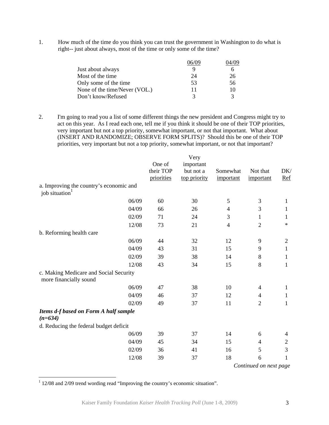1. How much of the time do you think you can trust the government in Washington to do what is right-- just about always, most of the time or only some of the time?

|                               | 16/09 |             |
|-------------------------------|-------|-------------|
| Just about always             |       |             |
| Most of the time.             | 24    | 26          |
| Only some of the time         | 53    | 56          |
| None of the time/Never (VOL.) | 11    | 10          |
| Don't know/Refused            | 3     | $\mathbf 3$ |

2. I'm going to read you a list of some different things the new president and Congress might try to act on this year. As I read each one, tell me if you think it should be one of their TOP priorities, very important but not a top priority, somewhat important, or not that important. What about (INSERT AND RANDOMIZE; OBSERVE FORM SPLITS)? Should this be one of their TOP priorities, very important but not a top priority, somewhat important, or not that important?

|                                                           |            | Very         |                |                        |                |
|-----------------------------------------------------------|------------|--------------|----------------|------------------------|----------------|
|                                                           | One of     | important    |                |                        |                |
|                                                           | their TOP  | but not a    | Somewhat       | Not that               | DK/            |
|                                                           | priorities | top priority | important      | important              | $Ref$          |
| a. Improving the country's economic and                   |            |              |                |                        |                |
| job situation <sup>1</sup>                                |            |              |                |                        |                |
| 06/09                                                     | 60         | 30           | $\mathfrak s$  | 3                      | $\mathbf{1}$   |
| 04/09                                                     | 66         | 26           | $\overline{4}$ | 3                      | $\mathbf{1}$   |
| 02/09                                                     | 71         | 24           | $\mathfrak{Z}$ | $\mathbf{1}$           | $\mathbf{1}$   |
| 12/08                                                     | 73         | 21           | $\overline{4}$ | $\mathbf{2}$           | $\ast$         |
| b. Reforming health care                                  |            |              |                |                        |                |
| 06/09                                                     | 44         | 32           | 12             | 9                      | $\mathbf 2$    |
| 04/09                                                     | 43         | 31           | 15             | 9                      | $\mathbf{1}$   |
| 02/09                                                     | 39         | 38           | 14             | 8                      | $\mathbf{1}$   |
| 12/08                                                     | 43         | 34           | 15             | 8                      | $\mathbf{1}$   |
| c. Making Medicare and Social Security                    |            |              |                |                        |                |
| more financially sound                                    |            |              |                |                        |                |
| 06/09                                                     | 47         | 38           | 10             | 4                      | $\mathbf{1}$   |
| 04/09                                                     | 46         | 37           | 12             | 4                      | $\mathbf{1}$   |
| 02/09                                                     | 49         | 37           | 11             | $\overline{2}$         | $\mathbf{1}$   |
| <b>Items d-f based on Form A half sample</b><br>$(n=634)$ |            |              |                |                        |                |
| d. Reducing the federal budget deficit                    |            |              |                |                        |                |
| 06/09                                                     | 39         | 37           | 14             | 6                      | 4              |
| 04/09                                                     | 45         | 34           | 15             | $\overline{4}$         | $\mathfrak{2}$ |
| 02/09                                                     | 36         | 41           | 16             | 5                      | $\mathfrak{Z}$ |
| 12/08                                                     | 39         | 37           | 18             | 6                      | 1              |
|                                                           |            |              |                | Continued on next page |                |

<sup>1</sup> 12/08 and 2/09 trend wording read "Improving the country's economic situation".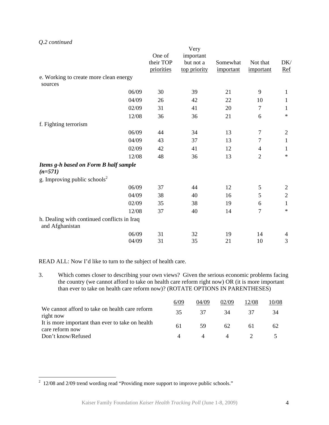|                                                                |       |            | Very         |           |                |                |
|----------------------------------------------------------------|-------|------------|--------------|-----------|----------------|----------------|
|                                                                |       | One of     | important    |           |                |                |
|                                                                |       | their TOP  | but not a    | Somewhat  | Not that       | DK/            |
|                                                                |       | priorities | top priority | important | important      | $Ref$          |
| e. Working to create more clean energy                         |       |            |              |           |                |                |
| sources                                                        |       |            |              |           |                |                |
|                                                                | 06/09 | 30         | 39           | 21        | 9              | $\mathbf{1}$   |
|                                                                | 04/09 | 26         | 42           | 22        | 10             | $\mathbf{1}$   |
|                                                                | 02/09 | 31         | 41           | 20        | 7              | $\mathbf{1}$   |
|                                                                | 12/08 | 36         | 36           | 21        | 6              | $\ast$         |
| f. Fighting terrorism                                          |       |            |              |           |                |                |
|                                                                | 06/09 | 44         | 34           | 13        | 7              | $\overline{2}$ |
|                                                                | 04/09 | 43         | 37           | 13        | 7              | $\mathbf{1}$   |
|                                                                | 02/09 | 42         | 41           | 12        | 4              | $\mathbf{1}$   |
|                                                                | 12/08 | 48         | 36           | 13        | $\overline{2}$ | $\ast$         |
| Items g-h based on Form B half sample<br>$(n=571)$             |       |            |              |           |                |                |
| g. Improving public schools <sup>2</sup>                       |       |            |              |           |                |                |
|                                                                | 06/09 | 37         | 44           | 12        | 5              | $\mathbf{2}$   |
|                                                                | 04/09 | 38         | 40           | 16        | 5              | $\mathbf{2}$   |
|                                                                | 02/09 | 35         | 38           | 19        | 6              | $\mathbf{1}$   |
|                                                                | 12/08 | 37         | 40           | 14        | $\overline{7}$ | $\ast$         |
| h. Dealing with continued conflicts in Iraq<br>and Afghanistan |       |            |              |           |                |                |
|                                                                | 06/09 | 31         | 32           | 19        | 14             | 4              |
|                                                                | 04/09 | 31         | 35           | 21        | 10             | 3              |

*Q.2 continued* 

READ ALL: Now I'd like to turn to the subject of health care.

3. Which comes closer to describing your own views? Given the serious economic problems facing the country (we cannot afford to take on health care reform right now) OR (it is more important than ever to take on health care reform now)? (ROTATE OPTIONS IN PARENTHESES)

|                                                                     | 6/09 | 04/09 | 02/09 | 12/08 | 10/08 |
|---------------------------------------------------------------------|------|-------|-------|-------|-------|
| We cannot afford to take on health care reform<br>right now         | 35   | 37    | 34    | 37    | 34    |
| It is more important than ever to take on health<br>care reform now | 61   | 59    | 62.   |       | 62    |
| Don't know/Refused                                                  |      |       |       |       |       |

<sup>&</sup>lt;sup>2</sup> 12/08 and 2/09 trend wording read "Providing more support to improve public schools."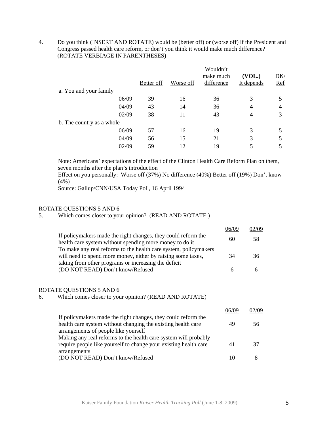4. Do you think (INSERT AND ROTATE) would be (better off) or (worse off) if the President and Congress passed health care reform, or don't you think it would make much difference? (ROTATE VERBIAGE IN PARENTHESES)

|       |            |           | Wouldn't<br>make much | (VOL.)     | DK/            |
|-------|------------|-----------|-----------------------|------------|----------------|
|       | Better off | Worse off | difference            | It depends | $Ref$          |
|       |            |           |                       |            |                |
| 06/09 | 39         | 16        | 36                    | 3          |                |
| 04/09 | 43         | 14        | 36                    | 4          | $\overline{4}$ |
| 02/09 | 38         | 11        | 43                    | 4          | 3              |
|       |            |           |                       |            |                |
| 06/09 | 57         | 16        | 19                    | 3          |                |
| 04/09 | 56         | 15        | 21                    | 3          | 5              |
| 02/09 | 59         | 12        | 19                    | 5          |                |
|       |            |           |                       |            |                |

Note: Americans' expectations of the effect of the Clinton Health Care Reform Plan on them, seven months after the plan's introduction

Effect on you personally: Worse off (37%) No difference (40%) Better off (19%) Don't know (4%)

Source: Gallup/CNN/USA Today Poll, 16 April 1994

## ROTATE QUESTIONS 5 AND 6

5. Which comes closer to your opinion? (READ AND ROTATE )

|                                                                                                                                                                                          | 06/09 | 02/09 |
|------------------------------------------------------------------------------------------------------------------------------------------------------------------------------------------|-------|-------|
| If policymakers made the right changes, they could reform the<br>health care system without spending more money to do it                                                                 | 60    | .58   |
| To make any real reforms to the health care system, policymakers<br>will need to spend more money, either by raising some taxes,<br>taking from other programs or increasing the deficit | 34    | 36    |
| (DO NOT READ) Don't know/Refused                                                                                                                                                         | h     |       |

## ROTATE QUESTIONS 5 AND 6

6. Which comes closer to your opinion? (READ AND ROTATE)

|                                                                                                                                                                       | 06/09 | 02/09 |
|-----------------------------------------------------------------------------------------------------------------------------------------------------------------------|-------|-------|
| If policymakers made the right changes, they could reform the<br>health care system without changing the existing health care<br>arrangements of people like yourself | 49    | 56    |
| Making any real reforms to the health care system will probably<br>require people like yourself to change your existing health care                                   |       | 37    |
| arrangements<br>(DO NOT READ) Don't know/Refused                                                                                                                      |       |       |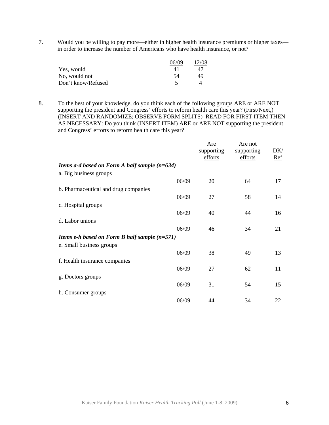7. Would you be willing to pay more—either in higher health insurance premiums or higher taxes in order to increase the number of Americans who have health insurance, or not?

|                    | 06/09 | 12/08 |
|--------------------|-------|-------|
| Yes, would         | 41    | 47    |
| No. would not      | 54    | 49    |
| Don't know/Refused |       |       |

8. To the best of your knowledge, do you think each of the following groups ARE or ARE NOT supporting the president and Congress' efforts to reform health care this year? (First/Next,) (INSERT AND RANDOMIZE; OBSERVE FORM SPLITS) READ FOR FIRST ITEM THEN AS NECESSARY: Do you think (INSERT ITEM) ARE or ARE NOT supporting the president and Congress' efforts to reform health care this year?

|                                                 |       | Are<br>supporting<br>efforts | Are not<br>supporting<br>efforts | DK/<br>Ref |
|-------------------------------------------------|-------|------------------------------|----------------------------------|------------|
| Items a-d based on Form A half sample $(n=634)$ |       |                              |                                  |            |
| a. Big business groups                          |       |                              |                                  |            |
|                                                 | 06/09 | 20                           | 64                               | 17         |
| b. Pharmaceutical and drug companies            |       |                              |                                  |            |
|                                                 | 06/09 | 27                           | 58                               | 14         |
| c. Hospital groups                              |       |                              |                                  |            |
|                                                 | 06/09 | 40                           | 44                               | 16         |
| d. Labor unions                                 |       |                              |                                  |            |
|                                                 | 06/09 | 46                           | 34                               | 21         |
| Items e-h based on Form B half sample $(n=571)$ |       |                              |                                  |            |
| e. Small business groups                        |       |                              |                                  |            |
|                                                 | 06/09 | 38                           | 49                               | 13         |
| f. Health insurance companies                   |       |                              |                                  |            |
|                                                 | 06/09 | 27                           | 62                               | 11         |
| g. Doctors groups                               |       |                              |                                  |            |
|                                                 | 06/09 | 31                           | 54                               | 15         |
| h. Consumer groups                              |       |                              |                                  |            |
|                                                 | 06/09 | 44                           | 34                               | 22         |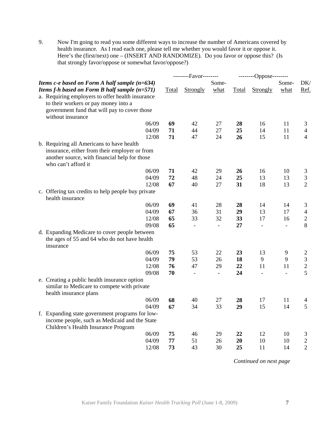9. Now I'm going to read you some different ways to increase the number of Americans covered by health insurance. As I read each one, please tell me whether you would favor it or oppose it. Here's the (first/next) one – (INSERT AND RANDOMIZE). Do you favor or oppose this? (Is that strongly favor/oppose or somewhat favor/oppose?)

|                                                                                            |       | --------Favor-------- |                |       | --------Oppose-------- |                |                |
|--------------------------------------------------------------------------------------------|-------|-----------------------|----------------|-------|------------------------|----------------|----------------|
| Items $c$ -e based on Form A half sample ( $n=634$ )                                       |       |                       | Some-          |       |                        | Some-          | DK/            |
| Items f-h based on Form B half sample $(n=571)$                                            | Total | Strongly              | what           | Total | Strongly               | what           | Ref.           |
| a. Requiring employers to offer health insurance                                           |       |                       |                |       |                        |                |                |
| to their workers or pay money into a                                                       |       |                       |                |       |                        |                |                |
| government fund that will pay to cover those                                               |       |                       |                |       |                        |                |                |
| without insurance                                                                          |       |                       |                |       |                        |                |                |
| 06/09                                                                                      | 69    | 42                    | 27             | 28    | 16                     | 11             | 3              |
| 04/09                                                                                      | 71    | 44                    | 27             | 25    | 14                     | 11             | $\overline{4}$ |
| 12/08                                                                                      | 71    | 47                    | 24             | 26    | 15                     | 11             | $\overline{4}$ |
|                                                                                            |       |                       |                |       |                        |                |                |
| b. Requiring all Americans to have health<br>insurance, either from their employer or from |       |                       |                |       |                        |                |                |
|                                                                                            |       |                       |                |       |                        |                |                |
| another source, with financial help for those                                              |       |                       |                |       |                        |                |                |
| who can't afford it                                                                        |       |                       |                |       |                        |                |                |
| 06/09                                                                                      | 71    | 42                    | 29             | 26    | 16                     | 10             | 3              |
| 04/09                                                                                      | 72    | 48                    | 24             | 25    | 13                     | 13             | $\mathfrak{Z}$ |
| 12/08                                                                                      | 67    | 40                    | 27             | 31    | 18                     | 13             | $\overline{2}$ |
| c. Offering tax credits to help people buy private                                         |       |                       |                |       |                        |                |                |
| health insurance                                                                           |       |                       |                |       |                        |                |                |
| 06/09                                                                                      | 69    | 41                    | 28             | 28    | 14                     | 14             | $\mathfrak{Z}$ |
| 04/09                                                                                      | 67    | 36                    | 31             | 29    | 13                     | 17             | $\overline{4}$ |
| 12/08                                                                                      | 65    | 33                    | 32             | 33    | 17                     | 16             | $\overline{2}$ |
| 09/08                                                                                      | 65    | $\overline{a}$        | $\blacksquare$ | 27    | $\frac{1}{2}$          | $\blacksquare$ | 8              |
| d. Expanding Medicare to cover people between                                              |       |                       |                |       |                        |                |                |
| the ages of 55 and 64 who do not have health                                               |       |                       |                |       |                        |                |                |
| insurance                                                                                  |       |                       |                |       |                        |                |                |
| 06/09                                                                                      | 75    | 53                    | 22             | 23    | 13                     | 9              | $\overline{c}$ |
| 04/09                                                                                      | 79    | 53                    | 26             | 18    | 9                      | 9              | $\mathfrak{Z}$ |
| 12/08                                                                                      | 76    | 47                    | 29             | 22    | 11                     | 11             | $\overline{c}$ |
| 09/08                                                                                      | 70    | $\overline{a}$        | $\blacksquare$ | 24    |                        | $\blacksquare$ | $\overline{5}$ |
| e. Creating a public health insurance option                                               |       |                       |                |       |                        |                |                |
| similar to Medicare to compete with private                                                |       |                       |                |       |                        |                |                |
| health insurance plans                                                                     |       |                       |                |       |                        |                |                |
| 06/09                                                                                      | 68    | 40                    | 27             | 28    | 17                     | 11             | $\overline{4}$ |
| 04/09                                                                                      | 67    | 34                    | 33             | 29    | 15                     | 14             | 5              |
| f. Expanding state government programs for low-                                            |       |                       |                |       |                        |                |                |
| income people, such as Medicaid and the State                                              |       |                       |                |       |                        |                |                |
| Children's Health Insurance Program                                                        |       |                       |                |       |                        |                |                |
| 06/09                                                                                      | 75    | 46                    | 29             | 22    | 12                     | 10             | 3              |
| 04/09                                                                                      | 77    | 51                    | 26             | 20    | 10                     | 10             | $\sqrt{2}$     |
| 12/08                                                                                      | 73    | 43                    | 30             | 25    | 11                     | 14             | $\overline{2}$ |

*Continued on next page*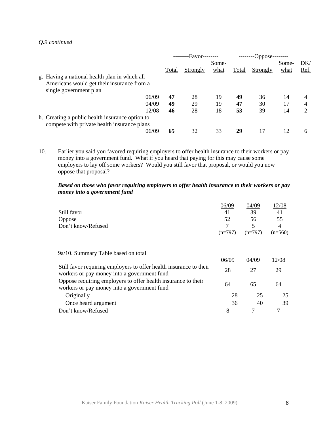## *Q.9 continued*

|                                                 | --------Favor-------- |          | $---Oppose--$ |       |          |       |      |
|-------------------------------------------------|-----------------------|----------|---------------|-------|----------|-------|------|
|                                                 |                       |          | Some-         |       |          | Some- | DK/  |
|                                                 | Total                 | Strongly | what          | Total | Strongly | what  | Ref. |
| g. Having a national health plan in which all   |                       |          |               |       |          |       |      |
| Americans would get their insurance from a      |                       |          |               |       |          |       |      |
| single government plan                          |                       |          |               |       |          |       |      |
| 06/09                                           | 47                    | 28       | 19            | 49    | 36       | 14    | 4    |
| 04/09                                           | 49                    | 29       | 19            | 47    | 30       | 17    | 4    |
| 12/08                                           | 46                    | 28       | 18            | 53    | 39       | 14    | ∍    |
| h. Creating a public health insurance option to |                       |          |               |       |          |       |      |
| compete with private health insurance plans     |                       |          |               |       |          |       |      |
| 06/09                                           | 65                    | 32       | 33            | 29    | 17       | 12    | 6    |

10. Earlier you said you favored requiring employers to offer health insurance to their workers or pay money into a government fund. What if you heard that paying for this may cause some employers to lay off some workers? Would you still favor that proposal, or would you now oppose that proposal?

## *Based on those who favor requiring employers to offer health insurance to their workers or pay money into a government fund*

| Still favor<br>Oppose<br>Don't know/Refused                                                                       | 06/09<br>41<br>52<br>7<br>$(n=797)$ | 04/09<br>39<br>56<br>5<br>$(n=797)$ | 12/08<br>41<br>55<br>4<br>$(n=560)$ |
|-------------------------------------------------------------------------------------------------------------------|-------------------------------------|-------------------------------------|-------------------------------------|
| 9a/10. Summary Table based on total                                                                               |                                     |                                     |                                     |
|                                                                                                                   | 06/09                               | 04/09                               | 12/08                               |
| Still favor requiring employers to offer health insurance to their<br>workers or pay money into a government fund | 28                                  | 27                                  | 29                                  |
| Oppose requiring employers to offer health insurance to their<br>workers or pay money into a government fund      | 64                                  | 65                                  | 64                                  |
| Originally                                                                                                        | 28                                  | 25                                  | 25                                  |
| Once heard argument                                                                                               | 36                                  | 40                                  | 39                                  |
| Don't know/Refused                                                                                                | 8                                   | 7                                   | 7                                   |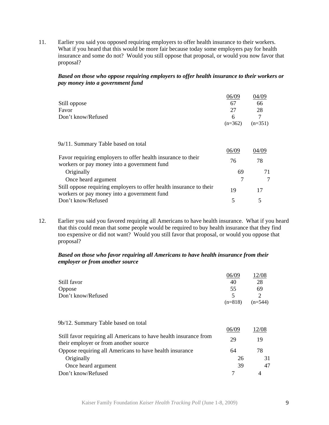11. Earlier you said you opposed requiring employers to offer health insurance to their workers. What if you heard that this would be more fair because today some employers pay for health insurance and some do not? Would you still oppose that proposal, or would you now favor that proposal?

## *Based on those who oppose requiring employers to offer health insurance to their workers or pay money into a government fund*

|                                                                                                                    | 06/09     | 04/09     |
|--------------------------------------------------------------------------------------------------------------------|-----------|-----------|
| Still oppose                                                                                                       | 67        | 66        |
| Favor                                                                                                              | 27        | 28        |
| Don't know/Refused                                                                                                 | 6         |           |
|                                                                                                                    | $(n=362)$ | $(n=351)$ |
|                                                                                                                    |           |           |
| 9a/11. Summary Table based on total                                                                                |           |           |
|                                                                                                                    | 06/09     | 04/09     |
| Favor requiring employers to offer health insurance to their                                                       | 76        | 78        |
| workers or pay money into a government fund                                                                        |           |           |
| Originally                                                                                                         | 69        | 71        |
| Once heard argument                                                                                                |           |           |
| Still oppose requiring employers to offer health insurance to their<br>workers or pay money into a government fund | 19        | 17        |
| Don't know/Refused                                                                                                 | 5         | 5         |

12. Earlier you said you favored requiring all Americans to have health insurance. What if you heard that this could mean that some people would be required to buy health insurance that they find too expensive or did not want? Would you still favor that proposal, or would you oppose that proposal?

# *Based on those who favor requiring all Americans to have health insurance from their employer or from another source*

|                                                                                                            | 06/09     | 12/08     |
|------------------------------------------------------------------------------------------------------------|-----------|-----------|
| Still favor                                                                                                | 40        | 28        |
| Oppose                                                                                                     | 55        | 69        |
| Don't know/Refused                                                                                         | 5         | 2         |
|                                                                                                            | $(n=818)$ | $(n=544)$ |
|                                                                                                            |           |           |
| 9b/12. Summary Table based on total                                                                        |           |           |
|                                                                                                            | 06/09     | 12/08     |
| Still favor requiring all Americans to have health insurance from<br>their employer or from another source | 29        | 19        |
| Oppose requiring all Americans to have health insurance                                                    | 64        | 78        |
| Originally                                                                                                 | 26        | 31        |
| Once heard argument                                                                                        | 39        | 47        |
| Don't know/Refused                                                                                         | 7         | 4         |
|                                                                                                            |           |           |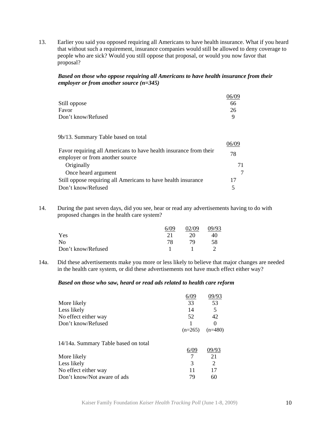13. Earlier you said you opposed requiring all Americans to have health insurance. What if you heard that without such a requirement, insurance companies would still be allowed to deny coverage to people who are sick? Would you still oppose that proposal, or would you now favor that proposal?

## *Based on those who oppose requiring all Americans to have health insurance from their employer or from another source (n=345)*

|                    | 06/09 |
|--------------------|-------|
| Still oppose       | 66    |
| Favor              | 26    |
| Don't know/Refused | Q     |

9b/13. Summary Table based on total

| Favor requiring all Americans to have health insurance from their<br>employer or from another source | 78 |
|------------------------------------------------------------------------------------------------------|----|
| Originally                                                                                           |    |
| Once heard argument                                                                                  |    |
| Still oppose requiring all Americans to have health insurance                                        | 17 |
| Don't know/Refused                                                                                   | 5  |

14. During the past seven days, did you see, hear or read any advertisements having to do with proposed changes in the health care system?

|                    | 6/09 | 02/09 | 09/93 |
|--------------------|------|-------|-------|
| Yes                |      | 20    | 40    |
| No                 | 78   | 70    | 58    |
| Don't know/Refused |      |       |       |

14a. Did these advertisements make you more or less likely to believe that major changes are needed in the health care system, or did these advertisements not have much effect either way?

## *Based on those who saw, heard or read ads related to health care reform*

|                                      | 6/09      | 09/93     |
|--------------------------------------|-----------|-----------|
| More likely                          | 33        | 53        |
| Less likely                          | 14        | 5         |
| No effect either way                 | 52        | 42        |
| Don't know/Refused                   |           |           |
|                                      | $(n=265)$ | $(n=480)$ |
| 14/14a. Summary Table based on total |           |           |
|                                      | 6/09      | 09/93     |
| More likely                          | 7         | 21        |
| Less likely                          | 3         | 2         |
| No effect either way                 | 11        | 17        |
| Don't know/Not aware of ads          | 79        | 60        |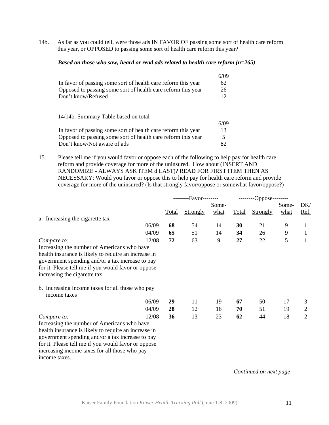14b. As far as you could tell, were those ads IN FAVOR OF passing some sort of health care reform this year, or OPPOSED to passing some sort of health care reform this year?

#### *Based on those who saw, heard or read ads related to health care reform (n=265)*

| In favor of passing some sort of health care reform this year<br>Opposed to passing some sort of health care reform this year<br>Don't know/Refused | 62<br>26<br>12 |
|-----------------------------------------------------------------------------------------------------------------------------------------------------|----------------|
| 14/14b. Summary Table based on total                                                                                                                |                |
|                                                                                                                                                     | 6/09           |
| In favor of passing some sort of health care reform this year                                                                                       | 13             |
| Opposed to passing some sort of health care reform this year                                                                                        | 5              |
| Don't know/Not aware of ads                                                                                                                         | 82             |

15. Please tell me if you would favor or oppose each of the following to help pay for health care reform and provide coverage for more of the uninsured. How about (INSERT AND RANDOMIZE - ALWAYS ASK ITEM d LAST)? READ FOR FIRST ITEM THEN AS NECESSARY: Would you favor or oppose this to help pay for health care reform and provide coverage for more of the uninsured? (Is that strongly favor/oppose or somewhat favor/oppose?)

|                                                                                                                                                                                                                                                                                  |              | --------Favor-------- |       |              | $---Oppose--$ | ------      |                |
|----------------------------------------------------------------------------------------------------------------------------------------------------------------------------------------------------------------------------------------------------------------------------------|--------------|-----------------------|-------|--------------|---------------|-------------|----------------|
|                                                                                                                                                                                                                                                                                  |              |                       | Some- |              |               | Some-       | DK/            |
|                                                                                                                                                                                                                                                                                  | <b>Total</b> | Strongly              | what  | <b>Total</b> | Strongly      | <u>what</u> | <u>Ref.</u>    |
| a. Increasing the cigarette tax                                                                                                                                                                                                                                                  |              |                       |       |              |               |             |                |
| 06/09                                                                                                                                                                                                                                                                            | 68           | 54                    | 14    | 30           | 21            | 9           |                |
| 04/09                                                                                                                                                                                                                                                                            | 65           | 51                    | 14    | 34           | 26            | 9           | 1              |
| 12/08<br>Compare to:                                                                                                                                                                                                                                                             | 72           | 63                    | 9     | 27           | 22            | 5           | 1              |
| Increasing the number of Americans who have                                                                                                                                                                                                                                      |              |                       |       |              |               |             |                |
| health insurance is likely to require an increase in                                                                                                                                                                                                                             |              |                       |       |              |               |             |                |
| government spending and/or a tax increase to pay                                                                                                                                                                                                                                 |              |                       |       |              |               |             |                |
| for it. Please tell me if you would favor or oppose                                                                                                                                                                                                                              |              |                       |       |              |               |             |                |
| increasing the cigarette tax.                                                                                                                                                                                                                                                    |              |                       |       |              |               |             |                |
| b. Increasing income taxes for all those who pay<br>income taxes                                                                                                                                                                                                                 |              |                       |       |              |               |             |                |
| 06/09                                                                                                                                                                                                                                                                            | 29           | 11                    | 19    | 67           | 50            | 17          | 3              |
| 04/09                                                                                                                                                                                                                                                                            | 28           | 12                    | 16    | 70           | 51            | 19          | $\overline{2}$ |
| 12/08<br>Compare to:                                                                                                                                                                                                                                                             | 36           | 13                    | 23    | 62           | 44            | 18          | $\overline{2}$ |
| Increasing the number of Americans who have<br>health insurance is likely to require an increase in<br>government spending and/or a tax increase to pay<br>for it. Please tell me if you would favor or oppose<br>increasing income taxes for all those who pay<br>income taxes. |              |                       |       |              |               |             |                |

*Continued on next page*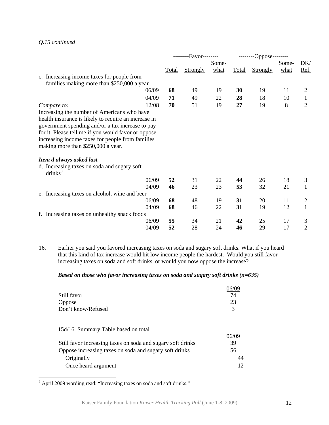## *Q.15 continued*

|                                                      |             | --------Favor-------- |       |       | --------Oppose-------- |       |                |
|------------------------------------------------------|-------------|-----------------------|-------|-------|------------------------|-------|----------------|
|                                                      |             |                       | Some- |       |                        | Some- | DK/            |
|                                                      | Total       | <b>Strongly</b>       | what  | Total | Strongly               | what  | Ref.           |
| c. Increasing income taxes for people from           |             |                       |       |       |                        |       |                |
| families making more than \$250,000 a year           |             |                       |       |       |                        |       |                |
|                                                      | 68<br>06/09 | 49                    | 19    | 30    | 19                     | 11    | 2              |
|                                                      | 71<br>04/09 | 49                    | 22    | 28    | 18                     | 10    | 1              |
| Compare to:                                          | 12/08<br>70 | 51                    | 19    | 27    | 19                     | 8     | $\overline{2}$ |
| Increasing the number of Americans who have          |             |                       |       |       |                        |       |                |
| health insurance is likely to require an increase in |             |                       |       |       |                        |       |                |
| government spending and/or a tax increase to pay     |             |                       |       |       |                        |       |                |
| for it. Please tell me if you would favor or oppose  |             |                       |       |       |                        |       |                |
| increasing income taxes for people from families     |             |                       |       |       |                        |       |                |
| making more than \$250,000 a year.                   |             |                       |       |       |                        |       |                |
|                                                      |             |                       |       |       |                        |       |                |
| Item d always asked last                             |             |                       |       |       |                        |       |                |
| d. Increasing taxes on soda and sugary soft          |             |                       |       |       |                        |       |                |
| $drinks^3$                                           |             |                       |       |       |                        |       |                |
|                                                      | 06/09<br>52 | 31                    | 22    | 44    | 26                     | 18    | 3              |
|                                                      | 04/09<br>46 | 23                    | 23    | 53    | 32                     | 21    | 1              |
| e. Increasing taxes on alcohol, wine and beer        |             |                       |       |       |                        |       |                |
|                                                      | 68<br>06/09 | 48                    | 19    | 31    | 20                     | 11    | $\overline{2}$ |
|                                                      | 04/09<br>68 | 46                    | 22    | 31    | 19                     | 12    | $\mathbf{1}$   |
| f. Increasing taxes on unhealthy snack foods         |             |                       |       |       |                        |       |                |
|                                                      | 55<br>06/09 | 34                    | 21    | 42    | 25                     | 17    | 3              |
|                                                      | 04/09<br>52 | 28                    | 24    | 46    | 29                     | 17    | $\overline{2}$ |
|                                                      |             |                       |       |       |                        |       |                |

16. Earlier you said you favored increasing taxes on soda and sugary soft drinks. What if you heard that this kind of tax increase would hit low income people the hardest. Would you still favor increasing taxes on soda and soft drinks, or would you now oppose the increase?

# *Based on those who favor increasing taxes on soda and sugary soft drinks (n=635)*

| Still favor                                                 | 74    |
|-------------------------------------------------------------|-------|
| Oppose                                                      | 23    |
| Don't know/Refused                                          | 3     |
|                                                             |       |
| 15d/16. Summary Table based on total                        |       |
|                                                             | 06/09 |
| Still favor increasing taxes on soda and sugary soft drinks | 39    |
| Oppose increasing taxes on soda and sugary soft drinks      | 56    |
| Originally                                                  | 44    |
| Once heard argument                                         | 12    |

<sup>&</sup>lt;sup>3</sup> April 2009 wording read: "Increasing taxes on soda and soft drinks."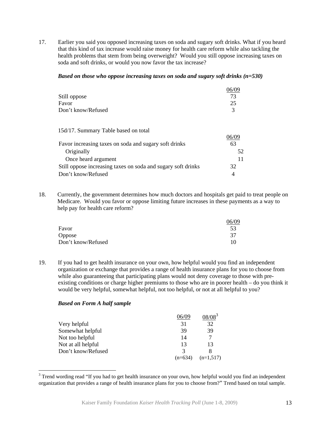17. Earlier you said you opposed increasing taxes on soda and sugary soft drinks. What if you heard that this kind of tax increase would raise money for health care reform while also tackling the health problems that stem from being overweight? Would you still oppose increasing taxes on soda and soft drinks, or would you now favor the tax increase?

#### *Based on those who oppose increasing taxes on soda and sugary soft drinks (n=530)*

|                    | 06/09         |
|--------------------|---------------|
| Still oppose       | 73            |
| Favor              | 25            |
| Don't know/Refused | $\mathcal{R}$ |
|                    |               |

15d/17. Summary Table based on total

|                                                              | 06/09 |
|--------------------------------------------------------------|-------|
| Favor increasing taxes on soda and sugary soft drinks        | 63    |
| Originally                                                   | 52.   |
| Once heard argument                                          |       |
| Still oppose increasing taxes on soda and sugary soft drinks | 32    |
| Don't know/Refused                                           | 4     |

18. Currently, the government determines how much doctors and hospitals get paid to treat people on Medicare. Would you favor or oppose limiting future increases in these payments as a way to help pay for health care reform?

|                    | 06/09 |
|--------------------|-------|
| Favor              | 53    |
| Oppose             | 37    |
| Don't know/Refused | 10    |

19. If you had to get health insurance on your own, how helpful would you find an independent organization or exchange that provides a range of health insurance plans for you to choose from while also guaranteeing that participating plans would not deny coverage to those with preexisting conditions or charge higher premiums to those who are in poorer health – do you think it would be very helpful, somewhat helpful, not too helpful, or not at all helpful to you?

## *Based on Form A half sample*

|                    | 06/09     | $08/08^3$   |
|--------------------|-----------|-------------|
| Very helpful       | 31        | 32          |
| Somewhat helpful   | 39        | 39          |
| Not too helpful    | 14        |             |
| Not at all helpful | 13        | 13          |
| Don't know/Refused | 3         |             |
|                    | $(n=634)$ | $(n=1,517)$ |

<sup>&</sup>lt;sup>3</sup> Trend wording read "If you had to get health insurance on your own, how helpful would you find an independent organization that provides a range of health insurance plans for you to choose from?" Trend based on total sample.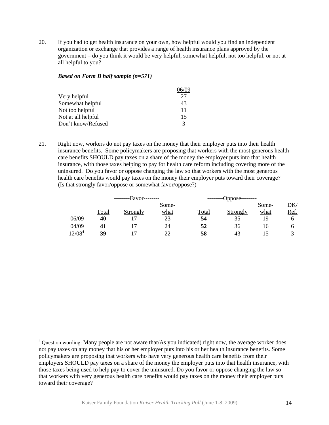20. If you had to get health insurance on your own, how helpful would you find an independent organization or exchange that provides a range of health insurance plans approved by the government – do you think it would be very helpful, somewhat helpful, not too helpful, or not at all helpful to you?

#### *Based on Form B half sample (n=571)*

 $\overline{a}$ 

|                    | 06/09        |
|--------------------|--------------|
| Very helpful       | 27           |
| Somewhat helpful   | 43           |
| Not too helpful    | 11           |
| Not at all helpful | 15           |
| Don't know/Refused | $\mathbf{z}$ |

21. Right now, workers do not pay taxes on the money that their employer puts into their health insurance benefits. Some policymakers are proposing that workers with the most generous health care benefits SHOULD pay taxes on a share of the money the employer puts into that health insurance, with those taxes helping to pay for health care reform including covering more of the uninsured. Do you favor or oppose changing the law so that workers with the most generous health care benefits would pay taxes on the money their employer puts toward their coverage? (Is that strongly favor/oppose or somewhat favor/oppose?)

|           |              | --------Favor-------- |       |       | --------Oppose-------- |       |      |
|-----------|--------------|-----------------------|-------|-------|------------------------|-------|------|
|           |              |                       | Some- |       |                        | Some- | DK/  |
|           | <b>Total</b> | Strongly              | what  | Total | Strongly               | what  | Ref. |
| 06/09     | 40           |                       | 23    | 54    | 35                     | 19    |      |
| 04/09     | 41           |                       | 24    | 52    | 36                     | 16.   |      |
| $12/08^4$ | 39           |                       | つつ    | 58    | 43                     |       |      |

<sup>&</sup>lt;sup>4</sup> Question wording: Many people are not aware that/As you indicated) right now, the average worker does not pay taxes on any money that his or her employer puts into his or her health insurance benefits. Some policymakers are proposing that workers who have very generous health care benefits from their employers SHOULD pay taxes on a share of the money the employer puts into that health insurance, with those taxes being used to help pay to cover the uninsured. Do you favor or oppose changing the law so that workers with very generous health care benefits would pay taxes on the money their employer puts toward their coverage?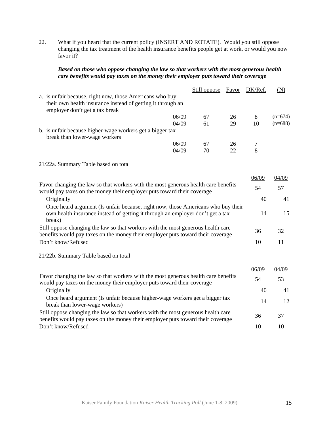22. What if you heard that the current policy (INSERT AND ROTATE). Would you still oppose changing the tax treatment of the health insurance benefits people get at work, or would you now favor it?

# *Based on those who oppose changing the law so that workers with the most generous health care benefits would pay taxes on the money their employer puts toward their coverage*

|                                                                                                                                                                              | Still oppose | <b>Favor</b> | DK/Ref. | (N)       |
|------------------------------------------------------------------------------------------------------------------------------------------------------------------------------|--------------|--------------|---------|-----------|
| a. is unfair because, right now, those Americans who buy<br>their own health insurance instead of getting it through an                                                      |              |              |         |           |
| employer don't get a tax break                                                                                                                                               |              |              |         |           |
| 06/09                                                                                                                                                                        | 67           | 26           | 8       | $(n=674)$ |
| 04/09                                                                                                                                                                        | 61           | 29           | 10      | $(n=688)$ |
| b. is unfair because higher-wage workers get a bigger tax<br>break than lower-wage workers                                                                                   |              |              |         |           |
| 06/09                                                                                                                                                                        | 67           | 26           | $\tau$  |           |
| 04/09                                                                                                                                                                        | 70           | 22           | 8       |           |
| 21/22a. Summary Table based on total                                                                                                                                         |              |              |         |           |
|                                                                                                                                                                              |              |              | 06/09   | 04/09     |
| Favor changing the law so that workers with the most generous health care benefits<br>would pay taxes on the money their employer puts toward their coverage                 |              |              | 54      | 57        |
| Originally                                                                                                                                                                   |              |              | 40      | 41        |
| Once heard argument (Is unfair because, right now, those Americans who buy their<br>own health insurance instead of getting it through an employer don't get a tax<br>break) |              |              | 14      | 15        |
| Still oppose changing the law so that workers with the most generous health care<br>benefits would pay taxes on the money their employer puts toward their coverage          |              |              | 36      | 32        |
| Don't know/Refused                                                                                                                                                           |              |              | 10      | 11        |
| 21/22b. Summary Table based on total                                                                                                                                         |              |              |         |           |
|                                                                                                                                                                              |              |              | 06/09   | 04/09     |
| Favor changing the law so that workers with the most generous health care benefits<br>would pay taxes on the money their employer puts toward their coverage                 |              |              | 54      | 53        |
| Originally                                                                                                                                                                   |              |              | 40      | 41        |
| Once heard argument (Is unfair because higher-wage workers get a bigger tax<br>break than lower-wage workers)                                                                |              |              | 14      | 12        |
| Still oppose changing the law so that workers with the most generous health care<br>benefits would pay taxes on the money their employer puts toward their coverage          |              |              | 36      | 37        |
| Don't know/Refused                                                                                                                                                           |              |              | 10      | 10        |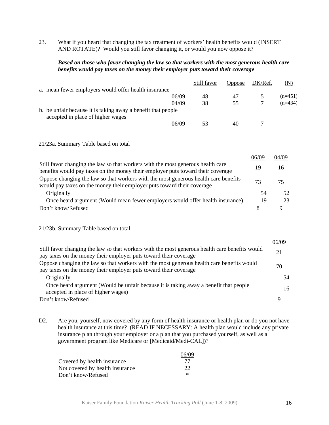23. What if you heard that changing the tax treatment of workers' health benefits would (INSERT AND ROTATE)? Would you still favor changing it, or would you now oppose it?

### *Based on those who favor changing the law so that workers with the most generous health care benefits would pay taxes on the money their employer puts toward their coverage*

|                                                                                                   | Still favor | <b>Oppose</b> | DK/Ref. | (N)       |
|---------------------------------------------------------------------------------------------------|-------------|---------------|---------|-----------|
| a. mean fewer employers would offer health insurance                                              |             |               |         |           |
| 06/09                                                                                             | 48          | 47            |         | $(n=451)$ |
| 04/09                                                                                             | 38          | 55            |         | $(n=434)$ |
| b. be unfair because it is taking away a benefit that people<br>accepted in place of higher wages |             |               |         |           |
| 06/09                                                                                             | 53          | 40            |         |           |

#### 21/23a. Summary Table based on total

|                                                                                                                                                                    | 06/09 | 04/09 |
|--------------------------------------------------------------------------------------------------------------------------------------------------------------------|-------|-------|
| Still favor changing the law so that workers with the most generous health care<br>benefits would pay taxes on the money their employer puts toward their coverage | 19    | 16    |
| Oppose changing the law so that workers with the most generous health care benefits<br>would pay taxes on the money their employer puts toward their coverage      | 73    | 75    |
| Originally                                                                                                                                                         | 54    | 52.   |
| Once heard argument (Would mean fewer employers would offer health insurance)                                                                                      | 19    | 23    |
| Don't know/Refused                                                                                                                                                 |       |       |

#### 21/23b. Summary Table based on total

|                                                                                                                                                                    | 06/09 |
|--------------------------------------------------------------------------------------------------------------------------------------------------------------------|-------|
| Still favor changing the law so that workers with the most generous health care benefits would<br>pay taxes on the money their employer puts toward their coverage | 21    |
| Oppose changing the law so that workers with the most generous health care benefits would<br>pay taxes on the money their employer puts toward their coverage      | 70    |
| Originally                                                                                                                                                         | 54    |
| Once heard argument (Would be unfair because it is taking away a benefit that people<br>accepted in place of higher wages)                                         | 16    |
| Don't know/Refused                                                                                                                                                 |       |

D2. Are you, yourself, now covered by any form of health insurance or health plan or do you not have health insurance at this time? (READ IF NECESSARY: A health plan would include any private insurance plan through your employer or a plan that you purchased yourself, as well as a government program like Medicare or [Medicaid/Medi-CAL])?

|                                 | 06/09  |
|---------------------------------|--------|
| Covered by health insurance     | -77    |
| Not covered by health insurance | 22     |
| Don't know/Refused              | $\ast$ |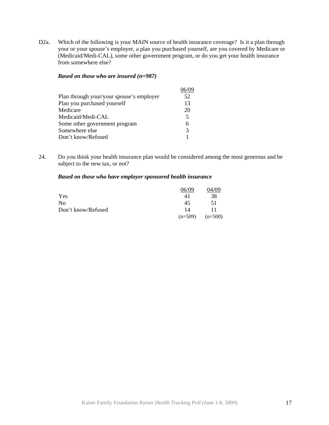D2a. Which of the following is your MAIN source of health insurance coverage? Is it a plan through your or your spouse's employer, a plan you purchased yourself, are you covered by Medicare or (Medicaid/Medi-CAL), some other government program, or do you get your health insurance from somewhere else?

#### *Based on those who are insured (n=987)*

| Plan through your/your spouse's employer | 52 |
|------------------------------------------|----|
| Plan you purchased yourself              | 13 |
| Medicare                                 | 20 |
| Medicaid/Medi-CAL                        | 5  |
| Some other government program            | 6  |
| Somewhere else                           | 3  |
| Don't know/Refused                       |    |

24. Do you think your health insurance plan would be considered among the most generous and be subject to the new tax, or not?

#### *Based on those who have employer sponsored health insurance*

|                    | 06/09     | 04/09     |
|--------------------|-----------|-----------|
| Yes                | 41        | 38        |
| No                 | 45        | 51        |
| Don't know/Refused | 14        | 11        |
|                    | $(n=509)$ | $(n=500)$ |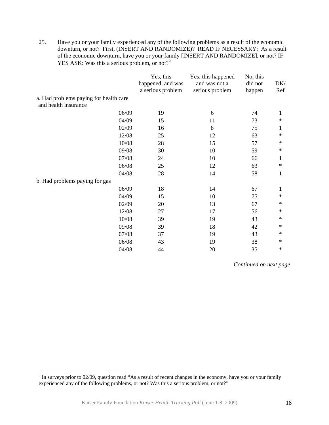25. Have you or your family experienced any of the following problems as a result of the economic downturn, or not? First, (INSERT AND RANDOMIZE)? READ IF NECESSARY: As a result of the economic downturn, have you or your family [INSERT AND RANDOMIZE], or not? IF YES ASK: Was this a serious problem, or not?<sup>5</sup>

|                                                                | Yes, this<br>happened, and was<br>a serious problem | Yes, this happened<br>and was not a<br>serious problem | No, this<br>did not<br>happen | DK/<br>$Ref$ |
|----------------------------------------------------------------|-----------------------------------------------------|--------------------------------------------------------|-------------------------------|--------------|
| a. Had problems paying for health care<br>and health insurance |                                                     |                                                        |                               |              |
| 06/09                                                          | 19                                                  | 6                                                      | 74                            | 1            |
| 04/09                                                          | 15                                                  | 11                                                     | 73                            | $\ast$       |
| 02/09                                                          | 16                                                  | 8                                                      | 75                            | 1            |
| 12/08                                                          | 25                                                  | 12                                                     | 63                            | $\ast$       |
| 10/08                                                          | 28                                                  | 15                                                     | 57                            | $\ast$       |
| 09/08                                                          | 30                                                  | 10                                                     | 59                            | $\ast$       |
| 07/08                                                          | 24                                                  | 10                                                     | 66                            | 1            |
| 06/08                                                          | 25                                                  | 12                                                     | 63                            | $\ast$       |
| 04/08                                                          | 28                                                  | 14                                                     | 58                            | 1            |
| b. Had problems paying for gas                                 |                                                     |                                                        |                               |              |
| 06/09                                                          | 18                                                  | 14                                                     | 67                            | 1            |
| 04/09                                                          | 15                                                  | 10                                                     | 75                            | $\ast$       |
| 02/09                                                          | 20                                                  | 13                                                     | 67                            | $\ast$       |
| 12/08                                                          | 27                                                  | 17                                                     | 56                            | $\ast$       |
| 10/08                                                          | 39                                                  | 19                                                     | 43                            | $\ast$       |
| 09/08                                                          | 39                                                  | 18                                                     | 42                            | $\ast$       |
| 07/08                                                          | 37                                                  | 19                                                     | 43                            | $\ast$       |
| 06/08                                                          | 43                                                  | 19                                                     | 38                            | $\ast$       |
| 04/08                                                          | 44                                                  | 20                                                     | 35                            | $\ast$       |

*Continued on next page* 

<sup>&</sup>lt;sup>5</sup> In surveys prior to 02/09, question read "As a result of recent changes in the economy, have you or your family experienced any of the following problems, or not? Was this a serious problem, or not?"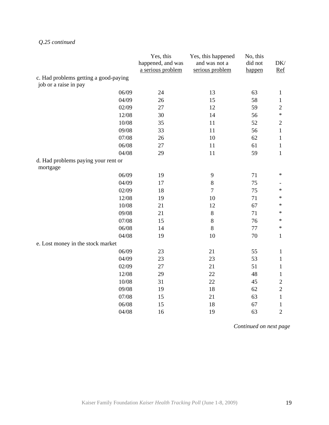*Q.25 continued* 

|                                                 | Yes, this<br>happened, and was<br>a serious problem | Yes, this happened<br>and was not a<br>serious problem | No, this<br>did not<br>happen | $DK/$<br>$Ref$ |
|-------------------------------------------------|-----------------------------------------------------|--------------------------------------------------------|-------------------------------|----------------|
| c. Had problems getting a good-paying           |                                                     |                                                        |                               |                |
| job or a raise in pay                           |                                                     |                                                        |                               |                |
| 06/09                                           | 24                                                  | 13                                                     | 63                            | $\mathbf{1}$   |
| 04/09                                           | 26                                                  | 15                                                     | 58                            | $\mathbf{1}$   |
| 02/09                                           | 27                                                  | 12                                                     | 59                            | $\overline{c}$ |
| 12/08                                           | 30                                                  | 14                                                     | 56                            | $\ast$         |
| 10/08                                           | 35                                                  | 11                                                     | 52                            | $\overline{c}$ |
| 09/08                                           | 33                                                  | 11                                                     | 56                            | $\mathbf{1}$   |
| 07/08                                           | 26                                                  | 10                                                     | 62                            | $\mathbf{1}$   |
| 06/08                                           | 27                                                  | 11                                                     | 61                            | $\mathbf{1}$   |
| 04/08                                           | 29                                                  | 11                                                     | 59                            | $\mathbf{1}$   |
| d. Had problems paying your rent or<br>mortgage |                                                     |                                                        |                               |                |
| 06/09                                           | 19                                                  | $\mathbf{9}$                                           | 71                            | $\ast$         |
| 04/09                                           | 17                                                  | $8\,$                                                  | 75                            |                |
| 02/09                                           | 18                                                  | $\tau$                                                 | 75                            | $\ast$         |
| 12/08                                           | 19                                                  | 10                                                     | 71                            | $\ast$         |
| 10/08                                           | 21                                                  | 12                                                     | 67                            | $\ast$         |
| 09/08                                           | 21                                                  | $\,8$                                                  | 71                            | $\ast$         |
| 07/08                                           | 15                                                  | $8\,$                                                  | 76                            | $\ast$         |
| 06/08                                           | 14                                                  | $8\,$                                                  | 77                            | $\ast$         |
| 04/08                                           | 19                                                  | 10                                                     | 70                            | $\mathbf{1}$   |
| e. Lost money in the stock market               |                                                     |                                                        |                               |                |
| 06/09                                           | 23                                                  | 21                                                     | 55                            | $\mathbf{1}$   |
| 04/09                                           | 23                                                  | 23                                                     | 53                            | $\mathbf{1}$   |
| 02/09                                           | 27                                                  | 21                                                     | 51                            | $\mathbf{1}$   |
| 12/08                                           | 29                                                  | 22                                                     | 48                            | $\mathbf{1}$   |
| 10/08                                           | 31                                                  | 22                                                     | 45                            | $\sqrt{2}$     |
| 09/08                                           | 19                                                  | 18                                                     | 62                            | $\sqrt{2}$     |
| 07/08                                           | 15                                                  | 21                                                     | 63                            | $\mathbf{1}$   |
| 06/08                                           | 15                                                  | 18                                                     | 67                            | $\mathbf{1}$   |
| 04/08                                           | 16                                                  | 19                                                     | 63                            | $\overline{2}$ |

*Continued on next page*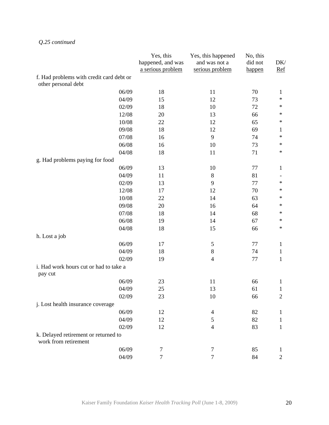# *Q.25 continued*

|                                                                 | Yes, this<br>happened, and was<br>a serious problem | Yes, this happened<br>and was not a<br>serious problem | No, this<br>did not<br>happen | DK/<br><u>Ref</u> |
|-----------------------------------------------------------------|-----------------------------------------------------|--------------------------------------------------------|-------------------------------|-------------------|
| f. Had problems with credit card debt or<br>other personal debt |                                                     |                                                        |                               |                   |
| 06/09                                                           | 18                                                  | 11                                                     | 70                            | $\mathbf{1}$      |
| 04/09                                                           | 15                                                  | 12                                                     | 73                            | ∗                 |
| 02/09                                                           | 18                                                  | 10                                                     | 72                            | $\ast$            |
| 12/08                                                           | 20                                                  | 13                                                     | 66                            | $\ast$            |
| 10/08                                                           | 22                                                  | 12                                                     | 65                            | $\ast$            |
| 09/08                                                           | 18                                                  | 12                                                     | 69                            | $\mathbf{1}$      |
| 07/08                                                           | 16                                                  | 9                                                      | 74                            | $\ast$            |
| 06/08                                                           | 16                                                  | 10                                                     | 73                            | $\ast$            |
| 04/08                                                           | 18                                                  | 11                                                     | 71                            | $\ast$            |
| g. Had problems paying for food                                 |                                                     |                                                        |                               |                   |
| 06/09                                                           | 13                                                  | 10                                                     | 77                            | $\mathbf{1}$      |
| 04/09                                                           | 11                                                  | 8                                                      | 81                            |                   |
| 02/09                                                           | 13                                                  | 9                                                      | 77                            | $\ast$            |
| 12/08                                                           | 17                                                  | 12                                                     | 70                            | $\ast$            |
| 10/08                                                           | 22                                                  | 14                                                     | 63                            | $\ast$            |
| 09/08                                                           | 20                                                  | 16                                                     | 64                            | $\ast$            |
| 07/08                                                           | 18                                                  | 14                                                     | 68                            | $\ast$            |
| 06/08                                                           | 19                                                  | 14                                                     | 67                            | $\ast$            |
| 04/08                                                           | 18                                                  | 15                                                     | 66                            | $\ast$            |
| h. Lost a job                                                   |                                                     |                                                        |                               |                   |
| 06/09                                                           | 17                                                  | $\sqrt{5}$                                             | 77                            | $\mathbf{1}$      |
| 04/09                                                           | 18                                                  | $\,8\,$                                                | 74                            | $\mathbf{1}$      |
| 02/09                                                           | 19                                                  | $\overline{4}$                                         | 77                            | $\mathbf{1}$      |
| i. Had work hours cut or had to take a<br>pay cut               |                                                     |                                                        |                               |                   |
| 06/09                                                           | 23                                                  | 11                                                     | 66                            | $\mathbf{1}$      |
| 04/09                                                           | 25                                                  | 13                                                     | 61                            | $\mathbf{1}$      |
| 02/09                                                           | 23                                                  | 10                                                     | 66                            | $\mathbf{2}$      |
| j. Lost health insurance coverage                               |                                                     |                                                        |                               |                   |
| 06/09                                                           | 12                                                  | $\overline{4}$                                         | 82                            | $\mathbf{1}$      |
| 04/09                                                           | 12                                                  | $\mathfrak{S}$                                         | 82                            | $\mathbf{1}$      |
| 02/09                                                           | 12                                                  | $\overline{4}$                                         | 83                            | $\mathbf{1}$      |
| k. Delayed retirement or returned to<br>work from retirement    |                                                     |                                                        |                               |                   |
| 06/09                                                           | $\tau$                                              | $\tau$                                                 | 85                            | $\mathbf{1}$      |
| 04/09                                                           | $\tau$                                              | $\tau$                                                 | 84                            | $\overline{c}$    |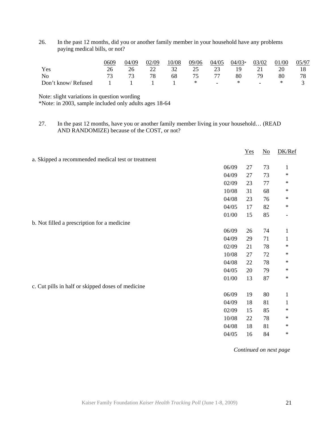26. In the past 12 months, did you or another family member in your household have any problems paying medical bills, or not?

|                                                        | 0609 | 04/09 | 02/09 |  | 10/08 09/06 04/05 04/03* 03/02 01/00 05/97 |  |  |
|--------------------------------------------------------|------|-------|-------|--|--------------------------------------------|--|--|
| Yes                                                    | 26   | 26    |       |  | 22 32 25 23 19 21 20 18                    |  |  |
| No.                                                    |      |       |       |  | 73 73 78 68 75 77 80 79 80 78              |  |  |
| Don't know/Refused $1 \t 1 \t 1 \t * \t -$ * - * - * 3 |      |       |       |  |                                            |  |  |

Note: slight variations in question wording

\*Note: in 2003, sample included only adults ages 18-64

27. In the past 12 months, have you or another family member living in your household… (READ AND RANDOMIZE) because of the COST, or not?

|                                                    |       | $Yes$  | $\underline{\mathrm{No}}$ | DK/Ref       |
|----------------------------------------------------|-------|--------|---------------------------|--------------|
| a. Skipped a recommended medical test or treatment |       |        |                           |              |
|                                                    | 06/09 | 27     | 73                        | $\mathbf{1}$ |
|                                                    | 04/09 | 27     | 73                        | $\ast$       |
|                                                    | 02/09 | 23     | $77 \,$                   | $\ast$       |
|                                                    | 10/08 | 31     | 68                        | $\ast$       |
|                                                    | 04/08 | 23     | 76                        | ∗            |
|                                                    | 04/05 | 17     | 82                        | $\ast$       |
|                                                    | 01/00 | 15     | 85                        |              |
| b. Not filled a prescription for a medicine        |       |        |                           |              |
|                                                    | 06/09 | 26     | 74                        | $\mathbf{1}$ |
|                                                    | 04/09 | 29     | 71                        | $\mathbf{1}$ |
|                                                    | 02/09 | 21     | 78                        | $\ast$       |
|                                                    | 10/08 | $27\,$ | 72                        | $\ast$       |
|                                                    | 04/08 | 22     | 78                        | $\ast$       |
|                                                    | 04/05 | 20     | 79                        | $\ast$       |
|                                                    | 01/00 | 13     | 87                        | $\ast$       |
| c. Cut pills in half or skipped doses of medicine  |       |        |                           |              |
|                                                    | 06/09 | 19     | 80                        | $\mathbf{1}$ |
|                                                    | 04/09 | 18     | 81                        | 1            |
|                                                    | 02/09 | 15     | 85                        | $\ast$       |
|                                                    | 10/08 | 22     | 78                        | $\ast$       |
|                                                    | 04/08 | 18     | 81                        | $\ast$       |
|                                                    | 04/05 | 16     | 84                        | $\ast$       |

*Continued on next page*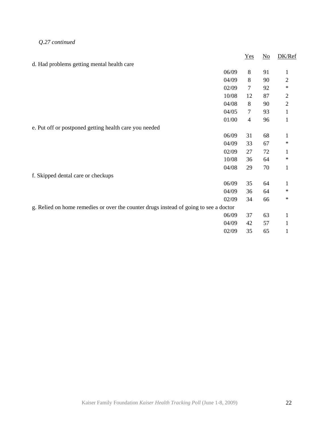# *Q.27 continued*

|                                                                                       |       | Yes              | $\underline{\mathrm{No}}$ | DK/Ref       |
|---------------------------------------------------------------------------------------|-------|------------------|---------------------------|--------------|
| d. Had problems getting mental health care                                            |       |                  |                           |              |
|                                                                                       | 06/09 | $\,8\,$          | 91                        | $\mathbf{1}$ |
|                                                                                       | 04/09 | 8                | 90                        | $\sqrt{2}$   |
|                                                                                       | 02/09 | $\overline{7}$   | 92                        | $\ast$       |
|                                                                                       | 10/08 | 12               | 87                        | $\sqrt{2}$   |
|                                                                                       | 04/08 | $\,8\,$          | 90                        | $\sqrt{2}$   |
|                                                                                       | 04/05 | $\boldsymbol{7}$ | 93                        | $\mathbf{1}$ |
|                                                                                       | 01/00 | $\overline{4}$   | 96                        | $\mathbf{1}$ |
| e. Put off or postponed getting health care you needed                                |       |                  |                           |              |
|                                                                                       | 06/09 | 31               | 68                        | $\mathbf{1}$ |
|                                                                                       | 04/09 | 33               | 67                        | $\ast$       |
|                                                                                       | 02/09 | 27               | 72                        | $\mathbf{1}$ |
|                                                                                       | 10/08 | 36               | 64                        | $\ast$       |
|                                                                                       | 04/08 | 29               | 70                        | $\mathbf{1}$ |
| f. Skipped dental care or checkups                                                    |       |                  |                           |              |
|                                                                                       | 06/09 | 35               | 64                        | 1            |
|                                                                                       | 04/09 | 36               | 64                        | $\ast$       |
|                                                                                       | 02/09 | 34               | 66                        | $\ast$       |
| g. Relied on home remedies or over the counter drugs instead of going to see a doctor |       |                  |                           |              |
|                                                                                       | 06/09 | 37               | 63                        | $\mathbf{1}$ |
|                                                                                       | 04/09 | 42               | 57                        | $\mathbf{1}$ |
|                                                                                       | 02/09 | 35               | 65                        | $\mathbf{1}$ |
|                                                                                       |       |                  |                           |              |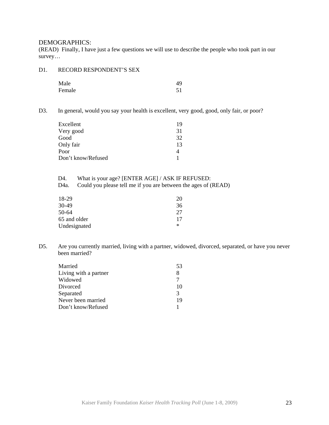#### DEMOGRAPHICS:

(READ) Finally, I have just a few questions we will use to describe the people who took part in our survey…

#### D1. RECORD RESPONDENT'S SEX

| Male   | 49 |
|--------|----|
| Female | 51 |

D3. In general, would you say your health is excellent, very good, good, only fair, or poor?

| Excellent          | 19 |
|--------------------|----|
| Very good          | 31 |
| Good               | 32 |
| Only fair          | 13 |
| Poor               |    |
| Don't know/Refused |    |

D4. What is your age? [ENTER AGE] / ASK IF REFUSED:

D4a. Could you please tell me if you are between the ages of (READ)

| 18-29        | 20     |
|--------------|--------|
| 30-49        | 36     |
| 50-64        | 27     |
| 65 and older | 17     |
| Undesignated | $\ast$ |

D5. Are you currently married, living with a partner, widowed, divorced, separated, or have you never been married?

| Married               | 53 |
|-----------------------|----|
| Living with a partner | 8  |
| Widowed               |    |
| Divorced              | 10 |
| Separated             | 3  |
| Never been married    | 19 |
| Don't know/Refused    |    |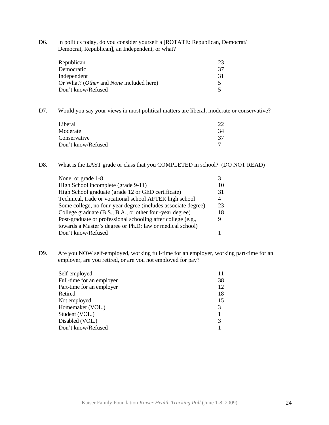D6. In politics today, do you consider yourself a [ROTATE: Republican, Democrat/ Democrat, Republican], an Independent, or what?

| Republican                                     | 23 |
|------------------------------------------------|----|
| Democratic                                     | 37 |
| Independent                                    | 31 |
| Or What? <i>(Other and None included here)</i> |    |
| Don't know/Refused                             |    |

D7. Would you say your views in most political matters are liberal, moderate or conservative?

| Liberal            | $22^{\circ}$ |
|--------------------|--------------|
| Moderate           | 34           |
| Conservative       | 37           |
| Don't know/Refused |              |

#### D8. What is the LAST grade or class that you COMPLETED in school? (DO NOT READ)

| 10 |
|----|
| 31 |
| 4  |
| 23 |
| 18 |
| 9  |
|    |
|    |
|    |

D9. Are you NOW self-employed, working full-time for an employer, working part-time for an employer, are you retired, or are you not employed for pay?

| Self-employed             |    |
|---------------------------|----|
| Full-time for an employer | 38 |
| Part-time for an employer | 12 |
| Retired                   | 18 |
| Not employed              | 15 |
| Homemaker (VOL.)          | 3  |
| Student (VOL.)            |    |
| Disabled (VOL.)           | 3  |
| Don't know/Refused        |    |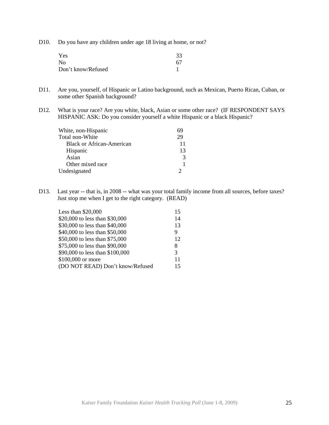D10. Do you have any children under age 18 living at home, or not?

| Yes                | 33 |
|--------------------|----|
| N <sub>0</sub>     | 67 |
| Don't know/Refused |    |

- D11. Are you, yourself, of Hispanic or Latino background, such as Mexican, Puerto Rican, Cuban, or some other Spanish background?
- D12. What is your race? Are you white, black, Asian or some other race? (IF RESPONDENT SAYS HISPANIC ASK: Do you consider yourself a white Hispanic or a black Hispanic?

| White, non-Hispanic              |    |
|----------------------------------|----|
| Total non-White                  | 29 |
| <b>Black or African-American</b> | 11 |
| Hispanic                         | 13 |
| Asian                            |    |
| Other mixed race                 |    |
| Undesignated                     |    |

D13. Last year -- that is, in 2008 -- what was your total family income from all sources, before taxes? Just stop me when I get to the right category. (READ)

| Less than $$20,000$              | 15            |
|----------------------------------|---------------|
| \$20,000 to less than \$30,000   | 14            |
| \$30,000 to less than \$40,000   | 13            |
| \$40,000 to less than \$50,000   | 9             |
| \$50,000 to less than \$75,000   | 12            |
| \$75,000 to less than \$90,000   | 8             |
| \$90,000 to less than \$100,000  | $\mathcal{R}$ |
| \$100,000 or more                | 11            |
| (DO NOT READ) Don't know/Refused | 15            |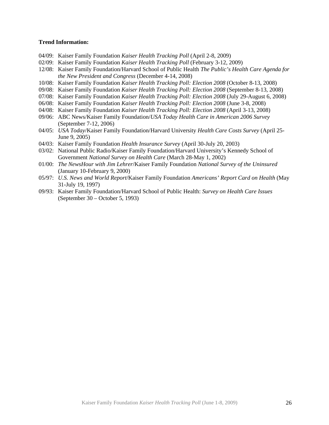#### **Trend Information:**

- 04/09: Kaiser Family Foundation *Kaiser Health Tracking Poll* (April 2-8, 2009)
- 02/09: Kaiser Family Foundation *Kaiser Health Tracking Poll* (February 3-12, 2009)
- 12/08: Kaiser Family Foundation/Harvard School of Public Health *The Public's Health Care Agenda for the New President and Congress* (December 4-14, 2008)
- 10/08: Kaiser Family Foundation *Kaiser Health Tracking Poll: Election 2008* (October 8-13, 2008)
- 09/08: Kaiser Family Foundation *Kaiser Health Tracking Poll: Election 2008* (September 8-13, 2008)
- 07/08: Kaiser Family Foundation *Kaiser Health Tracking Poll: Election 2008* (July 29-August 6, 2008)
- 06/08: Kaiser Family Foundation *Kaiser Health Tracking Poll: Election 2008* (June 3-8, 2008)
- 04/08: Kaiser Family Foundation *Kaiser Health Tracking Poll: Election 2008* (April 3-13, 2008)
- 09/06: ABC News/Kaiser Family Foundation/*USA Today Health Care in American 2006 Survey* (September 7-12, 2006)
- 04/05: *USA Today*/Kaiser Family Foundation/Harvard University *Health Care Costs Survey* (April 25- June 9, 2005)
- 04/03: Kaiser Family Foundation *Health Insurance Survey* (April 30-July 20, 2003)
- 03/02: National Public Radio/Kaiser Family Foundation/Harvard University's Kennedy School of Government *National Survey on Health Care* (March 28-May 1, 2002)
- 01/00: *The NewsHour with Jim Lehrer*/Kaiser Family Foundation *National Survey of the Uninsured* (January 10-February 9, 2000)
- 05/97: *U.S. News and World Report*/Kaiser Family Foundation *Americans' Report Card on Health* (May 31-July 19, 1997)
- 09/93: Kaiser Family Foundation/Harvard School of Public Health: *Survey on Health Care Issues* (September 30 – October 5, 1993)